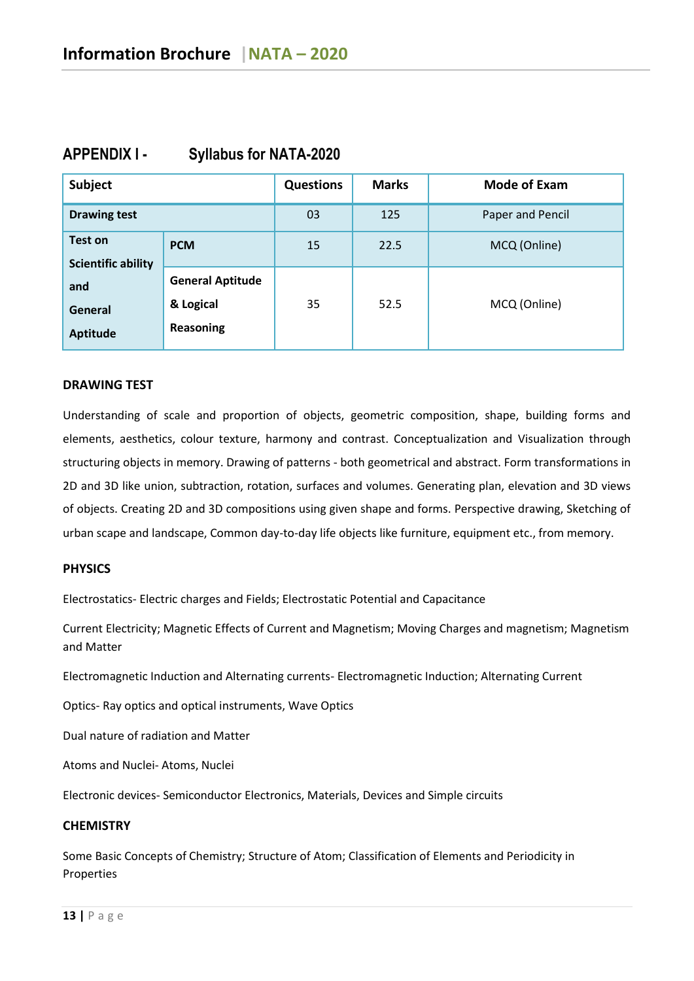| Subject                                     |                                                   | <b>Questions</b> | <b>Marks</b> | <b>Mode of Exam</b> |
|---------------------------------------------|---------------------------------------------------|------------------|--------------|---------------------|
| <b>Drawing test</b>                         |                                                   | 03               | 125          | Paper and Pencil    |
| <b>Test on</b><br><b>Scientific ability</b> | <b>PCM</b>                                        | 15               | 22.5         | MCQ (Online)        |
| and<br>General<br><b>Aptitude</b>           | <b>General Aptitude</b><br>& Logical<br>Reasoning | 35               | 52.5         | MCQ (Online)        |

# **APPENDIX I - Syllabus for NATA-2020**

#### **DRAWING TEST**

Understanding of scale and proportion of objects, geometric composition, shape, building forms and elements, aesthetics, colour texture, harmony and contrast. Conceptualization and Visualization through structuring objects in memory. Drawing of patterns - both geometrical and abstract. Form transformations in 2D and 3D like union, subtraction, rotation, surfaces and volumes. Generating plan, elevation and 3D views of objects. Creating 2D and 3D compositions using given shape and forms. Perspective drawing, Sketching of urban scape and landscape, Common day-to-day life objects like furniture, equipment etc., from memory.

### **PHYSICS**

Electrostatics- Electric charges and Fields; Electrostatic Potential and Capacitance

Current Electricity; Magnetic Effects of Current and Magnetism; Moving Charges and magnetism; Magnetism and Matter

Electromagnetic Induction and Alternating currents- Electromagnetic Induction; Alternating Current

Optics- Ray optics and optical instruments, Wave Optics

Dual nature of radiation and Matter

Atoms and Nuclei- Atoms, Nuclei

Electronic devices- Semiconductor Electronics, Materials, Devices and Simple circuits

### **CHEMISTRY**

Some Basic Concepts of Chemistry; Structure of Atom; Classification of Elements and Periodicity in Properties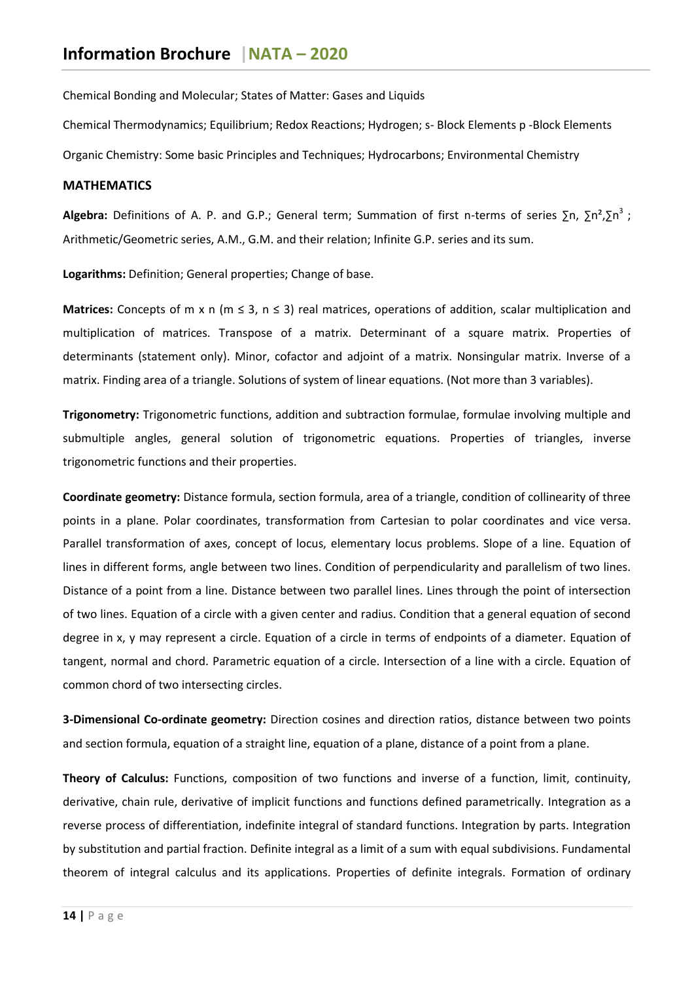Chemical Bonding and Molecular; States of Matter: Gases and Liquids

Chemical Thermodynamics; Equilibrium; Redox Reactions; Hydrogen; s- Block Elements p -Block Elements

Organic Chemistry: Some basic Principles and Techniques; Hydrocarbons; Environmental Chemistry

### **MATHEMATICS**

Algebra: Definitions of A. P. and G.P.; General term; Summation of first n-terms of series ∑n, ∑n<sup>2</sup>,∑n<sup>3</sup>; Arithmetic/Geometric series, A.M., G.M. and their relation; Infinite G.P. series and its sum.

**Logarithms:** Definition; General properties; Change of base.

**Matrices:** Concepts of m x n (m ≤ 3, n ≤ 3) real matrices, operations of addition, scalar multiplication and multiplication of matrices. Transpose of a matrix. Determinant of a square matrix. Properties of determinants (statement only). Minor, cofactor and adjoint of a matrix. Nonsingular matrix. Inverse of a matrix. Finding area of a triangle. Solutions of system of linear equations. (Not more than 3 variables).

**Trigonometry:** Trigonometric functions, addition and subtraction formulae, formulae involving multiple and submultiple angles, general solution of trigonometric equations. Properties of triangles, inverse trigonometric functions and their properties.

**Coordinate geometry:** Distance formula, section formula, area of a triangle, condition of collinearity of three points in a plane. Polar coordinates, transformation from Cartesian to polar coordinates and vice versa. Parallel transformation of axes, concept of locus, elementary locus problems. Slope of a line. Equation of lines in different forms, angle between two lines. Condition of perpendicularity and parallelism of two lines. Distance of a point from a line. Distance between two parallel lines. Lines through the point of intersection of two lines. Equation of a circle with a given center and radius. Condition that a general equation of second degree in x, y may represent a circle. Equation of a circle in terms of endpoints of a diameter. Equation of tangent, normal and chord. Parametric equation of a circle. Intersection of a line with a circle. Equation of common chord of two intersecting circles.

**3-Dimensional Co-ordinate geometry:** Direction cosines and direction ratios, distance between two points and section formula, equation of a straight line, equation of a plane, distance of a point from a plane.

**Theory of Calculus:** Functions, composition of two functions and inverse of a function, limit, continuity, derivative, chain rule, derivative of implicit functions and functions defined parametrically. Integration as a reverse process of differentiation, indefinite integral of standard functions. Integration by parts. Integration by substitution and partial fraction. Definite integral as a limit of a sum with equal subdivisions. Fundamental theorem of integral calculus and its applications. Properties of definite integrals. Formation of ordinary